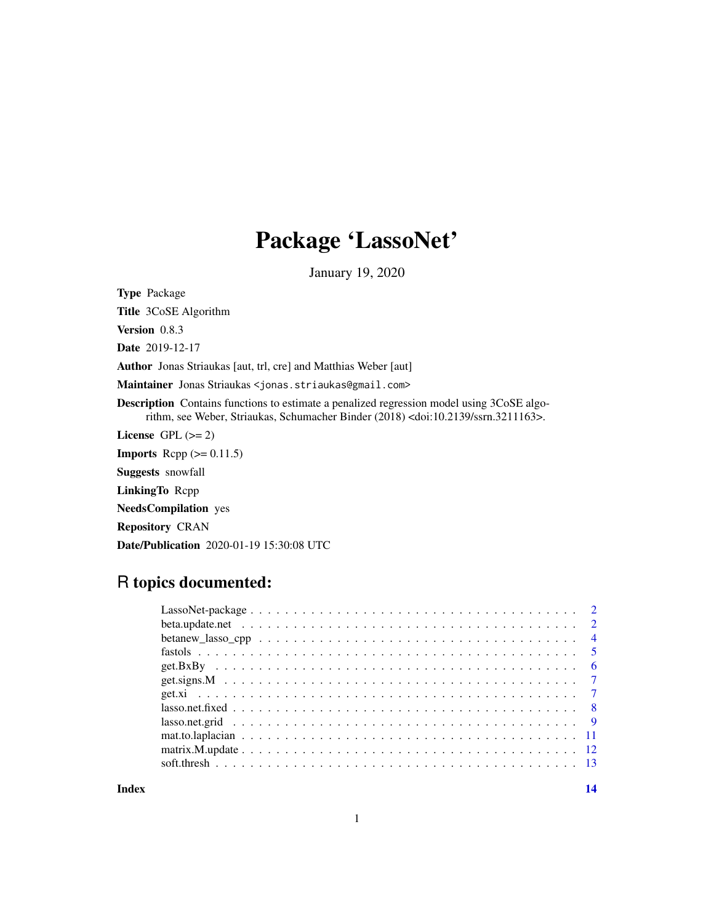# Package 'LassoNet'

January 19, 2020

<span id="page-0-0"></span>Type Package

Title 3CoSE Algorithm

Version 0.8.3

Date 2019-12-17

Author Jonas Striaukas [aut, trl, cre] and Matthias Weber [aut]

Maintainer Jonas Striaukas <jonas.striaukas@gmail.com>

Description Contains functions to estimate a penalized regression model using 3CoSE algorithm, see Weber, Striaukas, Schumacher Binder (2018) <doi:10.2139/ssrn.3211163>.

License GPL  $(>= 2)$ 

**Imports** Rcpp  $(>= 0.11.5)$ 

Suggests snowfall

LinkingTo Rcpp

NeedsCompilation yes

Repository CRAN

Date/Publication 2020-01-19 15:30:08 UTC

# R topics documented:

| $lasso.net.fixed \dots \dots \dots \dots \dots \dots \dots \dots \dots \dots \dots \dots \dots \dots \dots \dots \dots \dots$ |  |  |  |  |  |  |  |  |  |  |  |  |  |  |  |  |
|-------------------------------------------------------------------------------------------------------------------------------|--|--|--|--|--|--|--|--|--|--|--|--|--|--|--|--|
|                                                                                                                               |  |  |  |  |  |  |  |  |  |  |  |  |  |  |  |  |
|                                                                                                                               |  |  |  |  |  |  |  |  |  |  |  |  |  |  |  |  |
|                                                                                                                               |  |  |  |  |  |  |  |  |  |  |  |  |  |  |  |  |
|                                                                                                                               |  |  |  |  |  |  |  |  |  |  |  |  |  |  |  |  |
|                                                                                                                               |  |  |  |  |  |  |  |  |  |  |  |  |  |  |  |  |

**Index** 2008 **[14](#page-13-0)**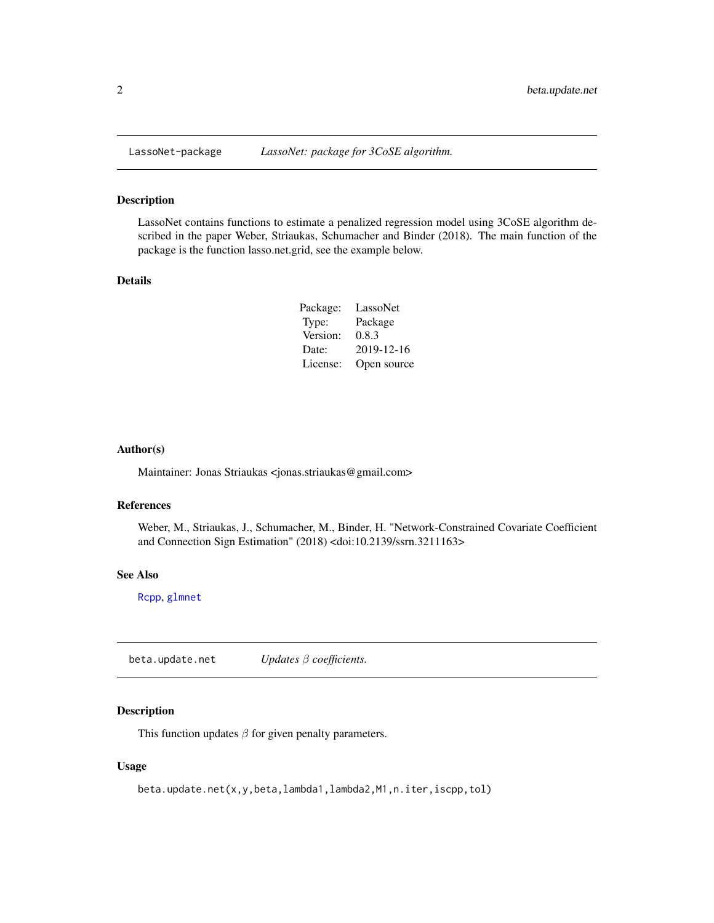<span id="page-1-0"></span>

LassoNet contains functions to estimate a penalized regression model using 3CoSE algorithm described in the paper Weber, Striaukas, Schumacher and Binder (2018). The main function of the package is the function lasso.net.grid, see the example below.

#### Details

| Package: | LassoNet    |
|----------|-------------|
| Type:    | Package     |
| Version: | 0.8.3       |
| Date:    | 2019-12-16  |
| License: | Open source |

#### Author(s)

Maintainer: Jonas Striaukas <jonas.striaukas@gmail.com>

#### References

Weber, M., Striaukas, J., Schumacher, M., Binder, H. "Network-Constrained Covariate Coefficient and Connection Sign Estimation" (2018) <doi:10.2139/ssrn.3211163>

#### See Also

[Rcpp](#page-0-0), [glmnet](#page-0-0)

beta.update.net *Updates* β *coefficients.*

# Description

This function updates  $\beta$  for given penalty parameters.

#### Usage

```
beta.update.net(x,y,beta,lambda1,lambda2,M1,n.iter,iscpp,tol)
```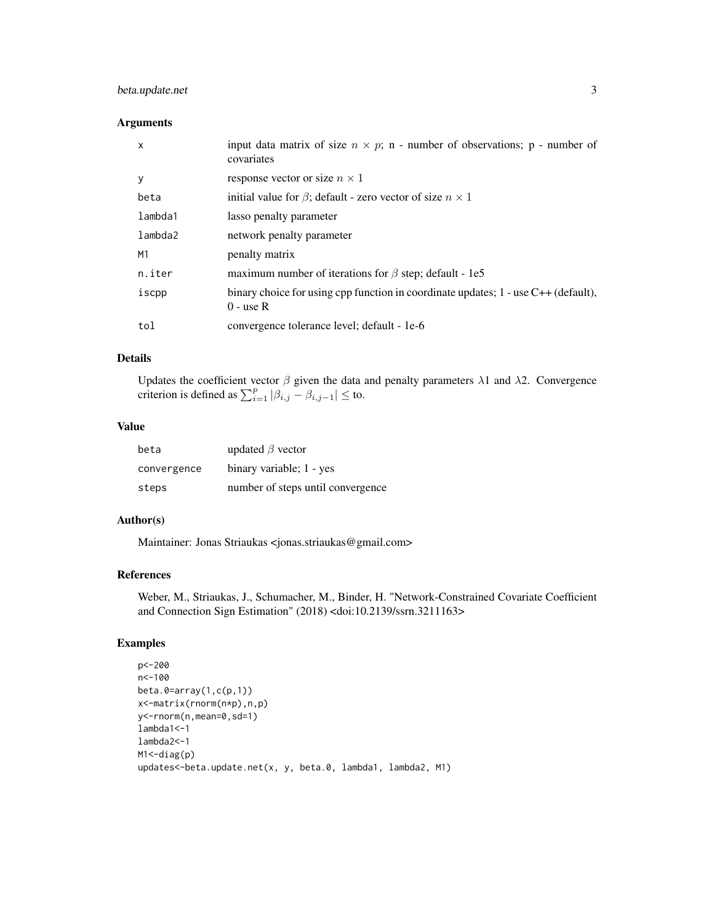# beta.update.net 3

#### Arguments

| X       | input data matrix of size $n \times p$ ; n - number of observations; p - number of<br>covariates           |
|---------|------------------------------------------------------------------------------------------------------------|
| у       | response vector or size $n \times 1$                                                                       |
| beta    | initial value for $\beta$ ; default - zero vector of size $n \times 1$                                     |
| lambda1 | lasso penalty parameter                                                                                    |
| lambda2 | network penalty parameter                                                                                  |
| M1      | penalty matrix                                                                                             |
| n.iter  | maximum number of iterations for $\beta$ step; default - 1e5                                               |
| iscpp   | binary choice for using cpp function in coordinate updates; $1 - \text{use C++}$ (default),<br>$0 -$ use R |
| tol     | convergence tolerance level; default - 1e-6                                                                |

#### Details

Updates the coefficient vector  $\beta$  given the data and penalty parameters  $\lambda$ 1 and  $\lambda$ 2. Convergence criterion is defined as  $\sum_{i=1}^{p} |\beta_{i,j} - \beta_{i,j-1}| \leq$  to.

#### Value

| beta        | updated $\beta$ vector            |
|-------------|-----------------------------------|
| convergence | binary variable; 1 - yes          |
| steps       | number of steps until convergence |

#### Author(s)

Maintainer: Jonas Striaukas <jonas.striaukas@gmail.com>

#### References

Weber, M., Striaukas, J., Schumacher, M., Binder, H. "Network-Constrained Covariate Coefficient and Connection Sign Estimation" (2018) <doi:10.2139/ssrn.3211163>

```
p<-200
n<-100
beta.0=array(1,c(p,1))
x<-matrix(rnorm(n*p),n,p)
y<-rnorm(n,mean=0,sd=1)
lambda1<-1
lambda2<-1
M1 <- diag(p)
updates<-beta.update.net(x, y, beta.0, lambda1, lambda2, M1)
```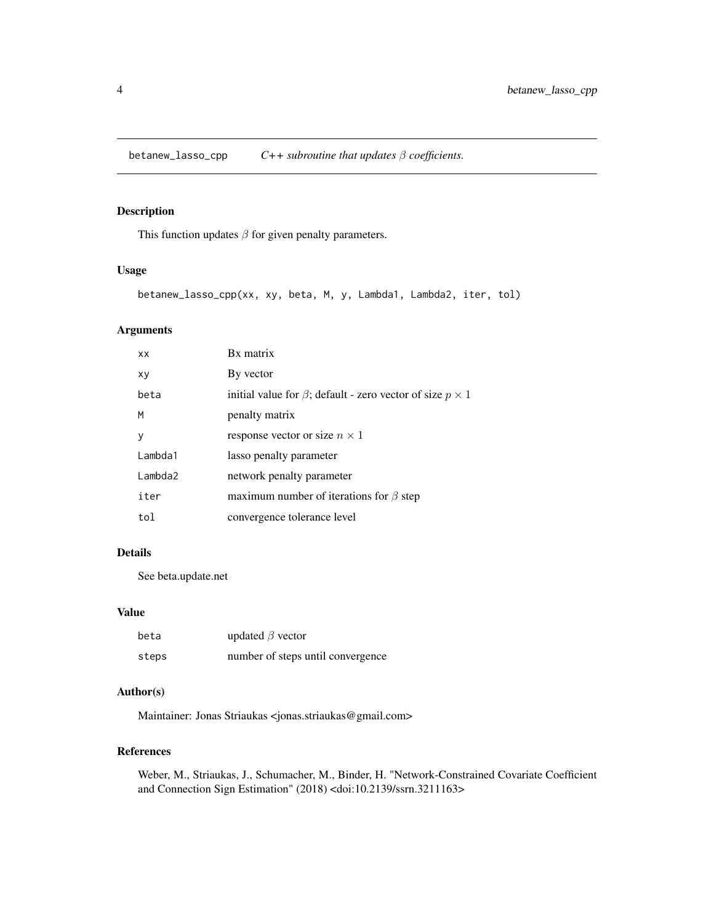<span id="page-3-0"></span>betanew\_lasso\_cpp *C++ subroutine that updates* β *coefficients.*

# Description

This function updates  $\beta$  for given penalty parameters.

#### Usage

```
betanew_lasso_cpp(xx, xy, beta, M, y, Lambda1, Lambda2, iter, tol)
```
# Arguments

| XX      | Bx matrix                                                              |
|---------|------------------------------------------------------------------------|
| xy      | By vector                                                              |
| beta    | initial value for $\beta$ ; default - zero vector of size $p \times 1$ |
| M       | penalty matrix                                                         |
| y       | response vector or size $n \times 1$                                   |
| Lambda1 | lasso penalty parameter                                                |
| Lambda2 | network penalty parameter                                              |
| iter    | maximum number of iterations for $\beta$ step                          |
| tol     | convergence tolerance level                                            |
|         |                                                                        |

# Details

See beta.update.net

#### Value

| beta  | updated $\beta$ vector            |
|-------|-----------------------------------|
| steps | number of steps until convergence |

#### Author(s)

Maintainer: Jonas Striaukas <jonas.striaukas@gmail.com>

#### References

Weber, M., Striaukas, J., Schumacher, M., Binder, H. "Network-Constrained Covariate Coefficient and Connection Sign Estimation" (2018) <doi:10.2139/ssrn.3211163>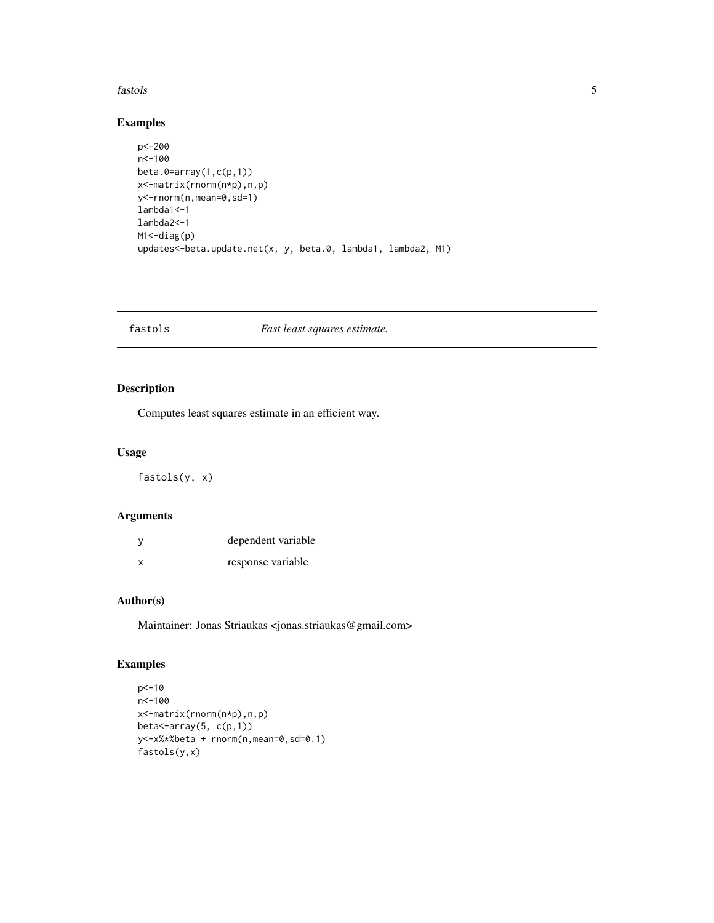#### <span id="page-4-0"></span>fastols 5

#### Examples

```
p<-200
n<-100
beta.\theta = array(1, c(p, 1))x<-matrix(rnorm(n*p),n,p)
y<-rnorm(n,mean=0,sd=1)
lambda1<-1
lambda2<-1
M1 <- diag(p)
updates<-beta.update.net(x, y, beta.0, lambda1, lambda2, M1)
```
fastols *Fast least squares estimate.*

# Description

Computes least squares estimate in an efficient way.

# Usage

fastols(y, x)

#### Arguments

| у | dependent variable |
|---|--------------------|
| x | response variable  |

# Author(s)

Maintainer: Jonas Striaukas <jonas.striaukas@gmail.com>

```
p<-10
n<-100
x<-matrix(rnorm(n*p),n,p)
beta<-array(5, c(p,1))
y<-x%*%beta + rnorm(n,mean=0,sd=0.1)
fastols(y,x)
```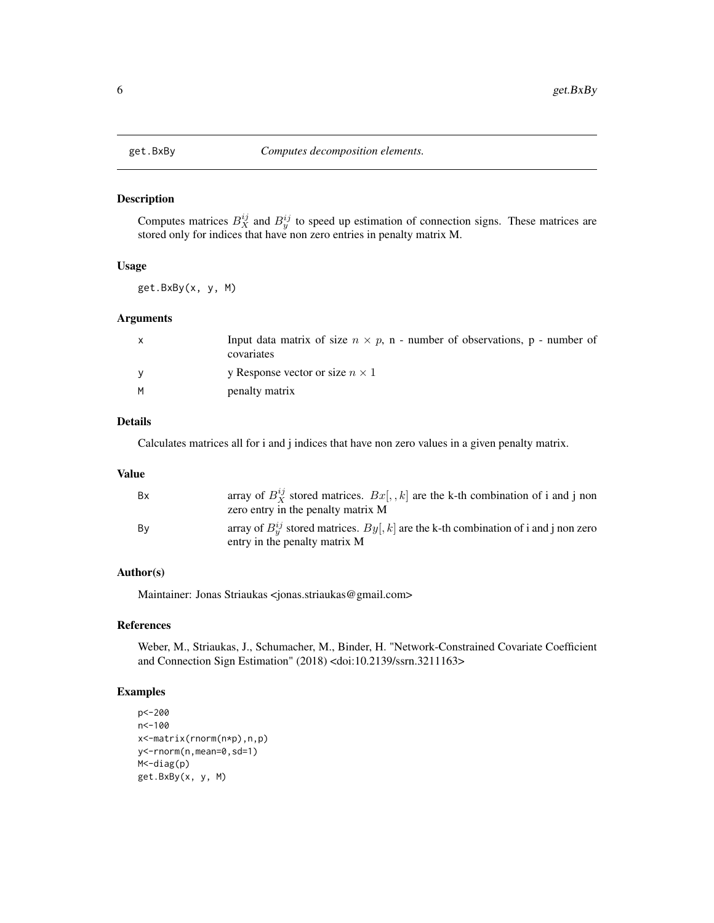<span id="page-5-0"></span>

Computes matrices  $B_X^{ij}$  and  $B_Y^{ij}$  to speed up estimation of connection signs. These matrices are stored only for indices that have non zero entries in penalty matrix M.

#### Usage

get.BxBy(x, y, M)

#### Arguments

| $\mathsf{X}$ | Input data matrix of size $n \times p$ , n - number of observations, p - number of<br>covariates |
|--------------|--------------------------------------------------------------------------------------------------|
|              | y Response vector or size $n \times 1$                                                           |
| M            | penalty matrix                                                                                   |

# Details

Calculates matrices all for i and j indices that have non zero values in a given penalty matrix.

#### Value

| <b>Bx</b> | array of $B_Y^{ij}$ stored matrices. $Bx[, k]$ are the k-th combination of i and j non<br>zero entry in the penalty matrix M |
|-----------|------------------------------------------------------------------------------------------------------------------------------|
| Bv        | array of $B_n^{ij}$ stored matrices. $By[, k]$ are the k-th combination of i and j non zero<br>entry in the penalty matrix M |

# Author(s)

Maintainer: Jonas Striaukas <jonas.striaukas@gmail.com>

# References

Weber, M., Striaukas, J., Schumacher, M., Binder, H. "Network-Constrained Covariate Coefficient and Connection Sign Estimation" (2018) <doi:10.2139/ssrn.3211163>

```
p<-200
n<-100
x<-matrix(rnorm(n*p),n,p)
y<-rnorm(n,mean=0,sd=1)
M<-diag(p)
get.BxBy(x, y, M)
```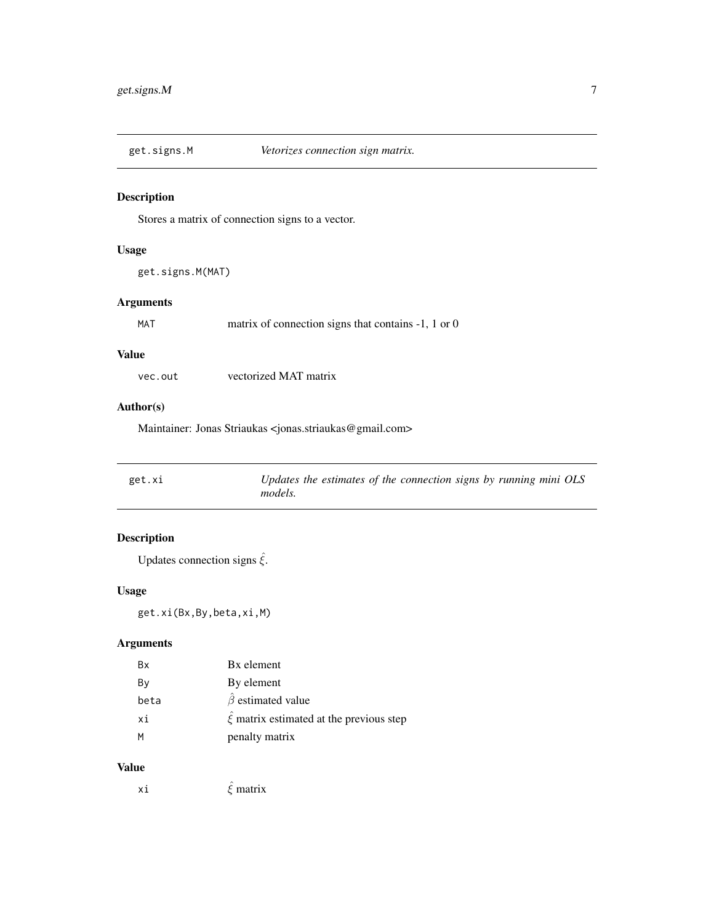<span id="page-6-0"></span>

Stores a matrix of connection signs to a vector.

# Usage

get.signs.M(MAT)

# Arguments

MAT matrix of connection signs that contains -1, 1 or 0

#### Value

vec.out vectorized MAT matrix

#### Author(s)

Maintainer: Jonas Striaukas <jonas.striaukas@gmail.com>

| get.xi | Updates the estimates of the connection signs by running mini OLS |
|--------|-------------------------------------------------------------------|
|        | <i>models.</i>                                                    |

# Description

Updates connection signs  $\hat{\xi}$ .

#### Usage

get.xi(Bx,By,beta,xi,M)

# Arguments

| Bx   | Bx element                                  |
|------|---------------------------------------------|
| By   | By element                                  |
| beta | $\hat{\beta}$ estimated value               |
| хi   | $\xi$ matrix estimated at the previous step |
| м    | penalty matrix                              |

#### Value

xi  $\hat{\xi}$  matrix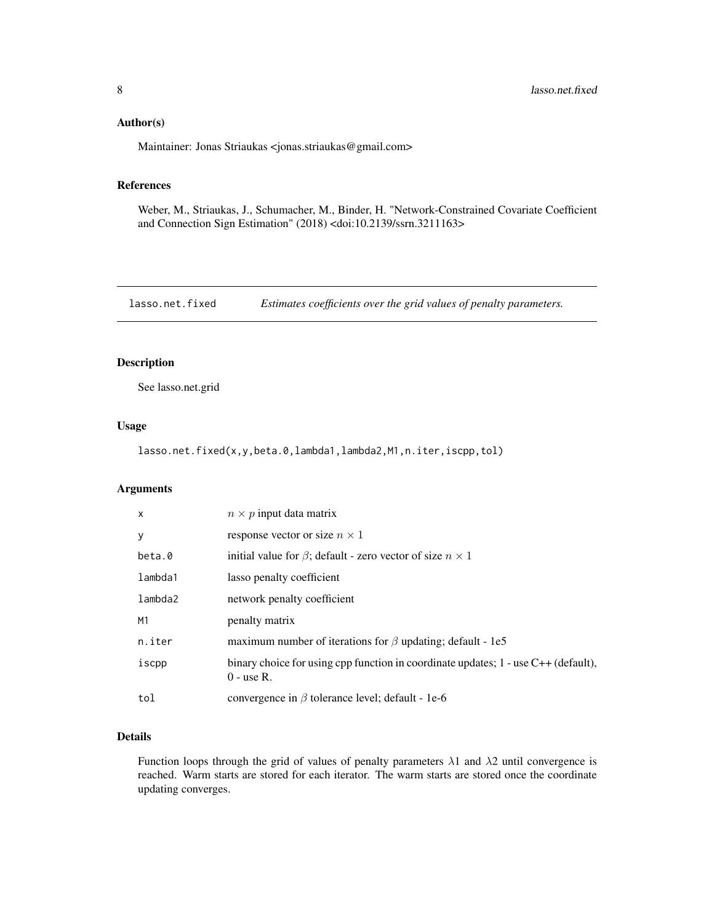#### <span id="page-7-0"></span>Author(s)

Maintainer: Jonas Striaukas <jonas.striaukas@gmail.com>

# References

Weber, M., Striaukas, J., Schumacher, M., Binder, H. "Network-Constrained Covariate Coefficient and Connection Sign Estimation" (2018) <doi:10.2139/ssrn.3211163>

lasso.net.fixed *Estimates coefficients over the grid values of penalty parameters.*

# Description

See lasso.net.grid

#### Usage

lasso.net.fixed(x,y,beta.0,lambda1,lambda2,M1,n.iter,iscpp,tol)

#### Arguments

| $\mathsf{x}$   | $n \times p$ input data matrix                                                                         |
|----------------|--------------------------------------------------------------------------------------------------------|
| y              | response vector or size $n \times 1$                                                                   |
| beta.0         | initial value for $\beta$ ; default - zero vector of size $n \times 1$                                 |
| lambda1        | lasso penalty coefficient                                                                              |
| lambda2        | network penalty coefficient                                                                            |
| M <sub>1</sub> | penalty matrix                                                                                         |
| n.iter         | maximum number of iterations for $\beta$ updating; default - 1e5                                       |
| iscpp          | binary choice for using cpp function in coordinate updates; $1$ - use $C++$ (default),<br>$0$ - use R. |
| tol            | convergence in $\beta$ tolerance level; default - 1e-6                                                 |

#### Details

Function loops through the grid of values of penalty parameters  $\lambda$ 1 and  $\lambda$ 2 until convergence is reached. Warm starts are stored for each iterator. The warm starts are stored once the coordinate updating converges.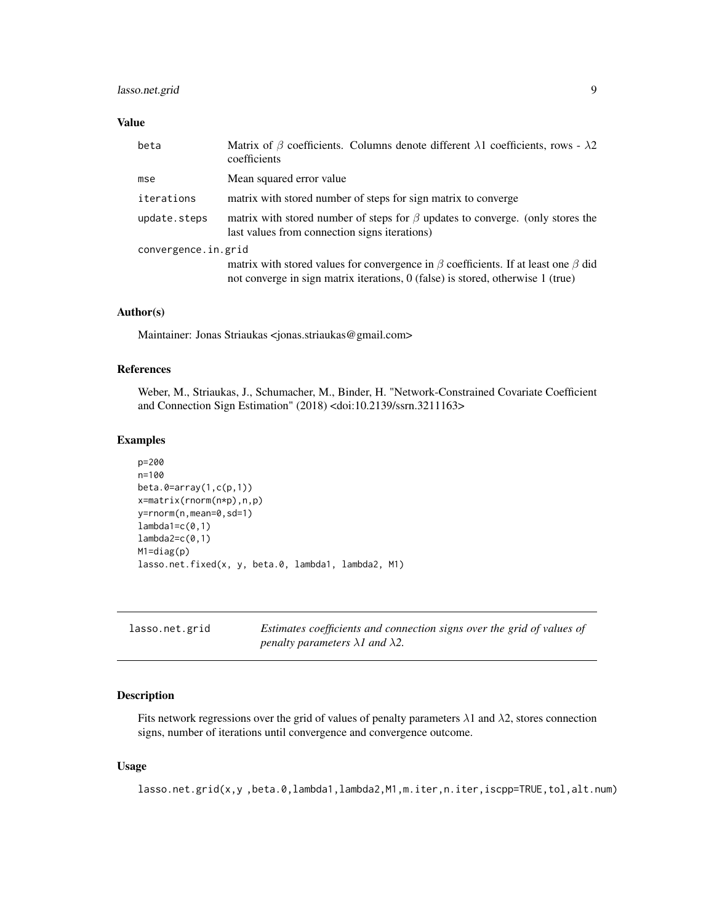# <span id="page-8-0"></span>lasso.net.grid 9

#### Value

| beta                | Matrix of $\beta$ coefficients. Columns denote different $\lambda$ 1 coefficients, rows - $\lambda$ 2<br>coefficients                                                             |
|---------------------|-----------------------------------------------------------------------------------------------------------------------------------------------------------------------------------|
| mse                 | Mean squared error value                                                                                                                                                          |
| iterations          | matrix with stored number of steps for sign matrix to converge                                                                                                                    |
| update.steps        | matrix with stored number of steps for $\beta$ updates to converge. (only stores the<br>last values from connection signs iterations)                                             |
| convergence.in.grid |                                                                                                                                                                                   |
|                     | matrix with stored values for convergence in $\beta$ coefficients. If at least one $\beta$ did<br>not converge in sign matrix iterations, 0 (false) is stored, otherwise 1 (true) |

#### Author(s)

Maintainer: Jonas Striaukas <jonas.striaukas@gmail.com>

#### References

Weber, M., Striaukas, J., Schumacher, M., Binder, H. "Network-Constrained Covariate Coefficient and Connection Sign Estimation" (2018) <doi:10.2139/ssrn.3211163>

#### Examples

```
p=200
n=100
beta.0=array(1,c(p,1))
x=matrix(rnorm(n*p),n,p)
y=rnorm(n,mean=0,sd=1)
lambda1=c(0,1)lambda2=c(0,1)M1=diag(p)
lasso.net.fixed(x, y, beta.0, lambda1, lambda2, M1)
```

| lasso.net.grid | Estimates coefficients and connection signs over the grid of values of |
|----------------|------------------------------------------------------------------------|
|                | penalty parameters $\lambda$ l and $\lambda$ 2.                        |

#### Description

Fits network regressions over the grid of values of penalty parameters  $\lambda$ 1 and  $\lambda$ 2, stores connection signs, number of iterations until convergence and convergence outcome.

#### Usage

lasso.net.grid(x,y,beta.0,lambda1,lambda2,M1,m.iter,n.iter,iscpp=TRUE,tol,alt.num)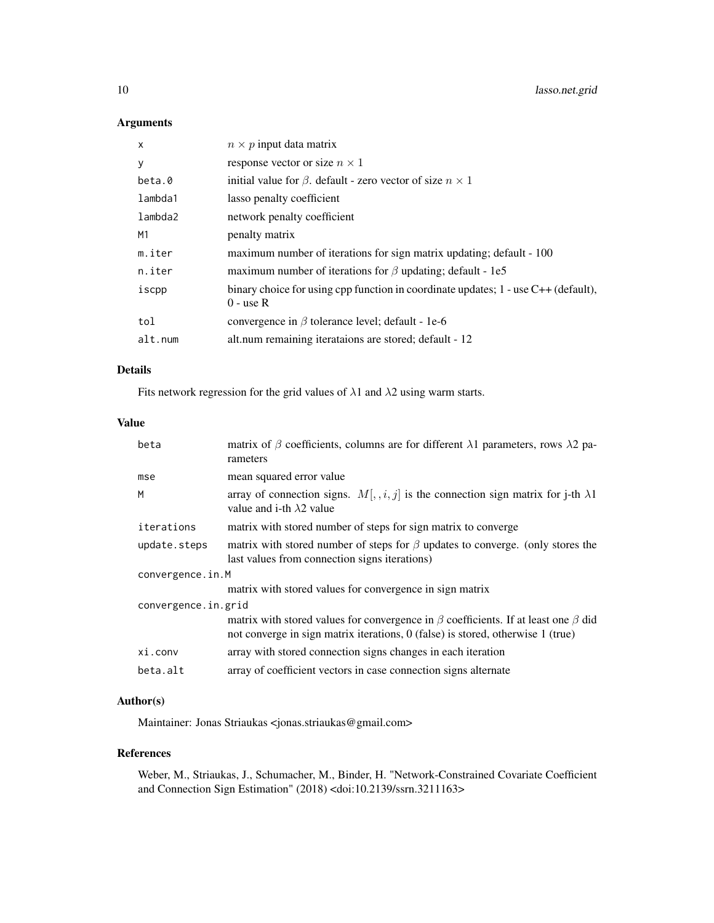10 lasso.net.grid

# Arguments

| X       | $n \times p$ input data matrix                                                                        |
|---------|-------------------------------------------------------------------------------------------------------|
| У       | response vector or size $n \times 1$                                                                  |
| beta.0  | initial value for $\beta$ . default - zero vector of size $n \times 1$                                |
| lambda1 | lasso penalty coefficient                                                                             |
| lambda2 | network penalty coefficient                                                                           |
| M1      | penalty matrix                                                                                        |
| m.iter  | maximum number of iterations for sign matrix updating; default - 100                                  |
| n.iter  | maximum number of iterations for $\beta$ updating; default - 1e5                                      |
| iscpp   | binary choice for using cpp function in coordinate updates; $1$ - use $C++$ (default),<br>$0$ - use R |
| tol     | convergence in $\beta$ tolerance level; default - 1e-6                                                |
| alt.num | alt.num remaining iterataions are stored; default - 12                                                |
|         |                                                                                                       |

#### Details

Fits network regression for the grid values of  $\lambda$ 1 and  $\lambda$ 2 using warm starts.

# Value

| beta                | matrix of $\beta$ coefficients, columns are for different $\lambda$ 1 parameters, rows $\lambda$ 2 pa-<br>rameters                                                                  |
|---------------------|-------------------------------------------------------------------------------------------------------------------------------------------------------------------------------------|
| mse                 | mean squared error value                                                                                                                                                            |
| M                   | array of connection signs. $M[, i, j]$ is the connection sign matrix for j-th $\lambda$ 1<br>value and i-th $\lambda$ 2 value                                                       |
| iterations          | matrix with stored number of steps for sign matrix to converge                                                                                                                      |
| update.steps        | matrix with stored number of steps for $\beta$ updates to converge. (only stores the<br>last values from connection signs iterations)                                               |
| convergence.in.M    |                                                                                                                                                                                     |
|                     | matrix with stored values for convergence in sign matrix                                                                                                                            |
| convergence.in.grid |                                                                                                                                                                                     |
|                     | matrix with stored values for convergence in $\beta$ coefficients. If at least one $\beta$ did<br>not converge in sign matrix iterations, $0$ (false) is stored, otherwise 1 (true) |
| xi.conv             | array with stored connection signs changes in each iteration                                                                                                                        |
| beta.alt            | array of coefficient vectors in case connection signs alternate                                                                                                                     |

# Author(s)

Maintainer: Jonas Striaukas <jonas.striaukas@gmail.com>

#### References

Weber, M., Striaukas, J., Schumacher, M., Binder, H. "Network-Constrained Covariate Coefficient and Connection Sign Estimation" (2018) <doi:10.2139/ssrn.3211163>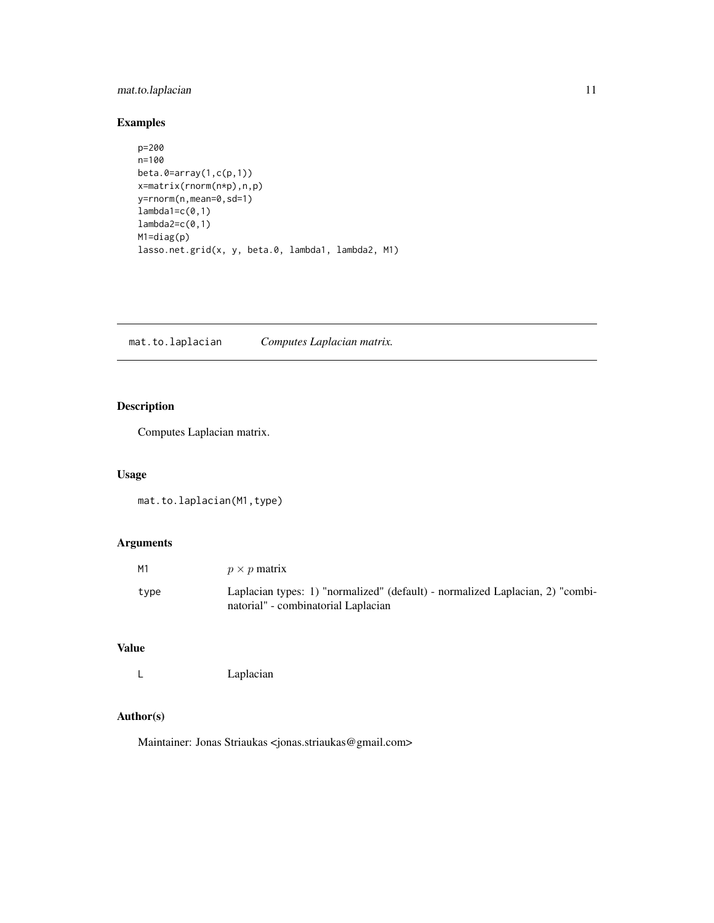# <span id="page-10-0"></span>mat.to.laplacian 11

# Examples

```
p=200
n=100
beta.0=array(1,c(p,1))
x=matrix(rnorm(n*p),n,p)
y=rnorm(n,mean=0,sd=1)
lambda1=c(0,1)lambda2=c(0,1)
M1=diag(p)
lasso.net.grid(x, y, beta.0, lambda1, lambda2, M1)
```
mat.to.laplacian *Computes Laplacian matrix.*

# Description

Computes Laplacian matrix.

# Usage

mat.to.laplacian(M1,type)

# Arguments

| М1   | $p \times p$ matrix                                                                                                  |
|------|----------------------------------------------------------------------------------------------------------------------|
| type | Laplacian types: 1) "normalized" (default) - normalized Laplacian, 2) "combi-<br>natorial" - combinatorial Laplacian |

# Value

L Laplacian

#### Author(s)

Maintainer: Jonas Striaukas <jonas.striaukas@gmail.com>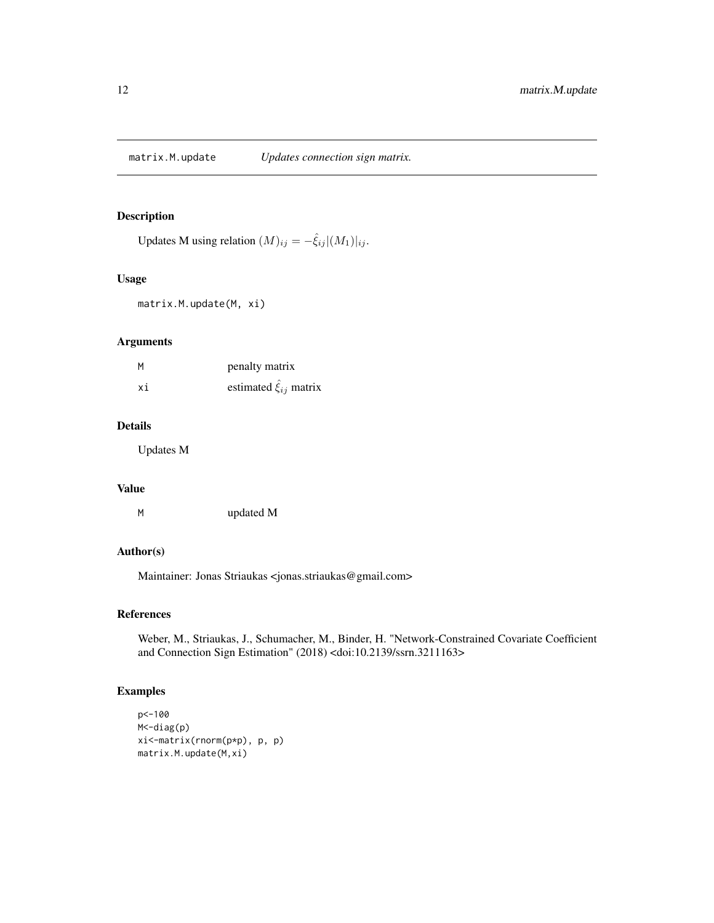<span id="page-11-0"></span>Updates M using relation  $(M)_{ij} = -\hat{\xi}_{ij} |(M_1)|_{ij}$ .

#### Usage

matrix.M.update(M, xi)

#### Arguments

| М  | penalty matrix              |
|----|-----------------------------|
| хi | estimated $\xi_{ij}$ matrix |

# Details

Updates M

# Value

| updated M |
|-----------|
|           |

# Author(s)

Maintainer: Jonas Striaukas <jonas.striaukas@gmail.com>

#### References

Weber, M., Striaukas, J., Schumacher, M., Binder, H. "Network-Constrained Covariate Coefficient and Connection Sign Estimation" (2018) <doi:10.2139/ssrn.3211163>

```
p<-100
M<-diag(p)
xi<-matrix(rnorm(p*p), p, p)
matrix.M.update(M,xi)
```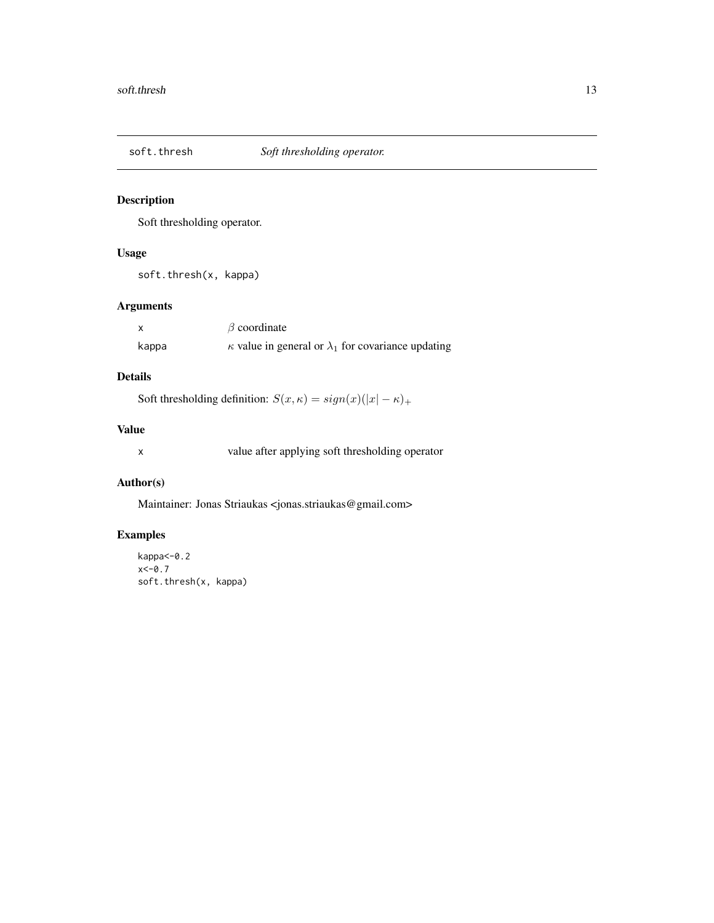<span id="page-12-0"></span>

Soft thresholding operator.

# Usage

soft.thresh(x, kappa)

# Arguments

|       | $\beta$ coordinate                                               |
|-------|------------------------------------------------------------------|
| kappa | $\kappa$ value in general or $\lambda_1$ for covariance updating |

# Details

Soft thresholding definition:  $S(x, \kappa) = sign(x)(|x| - \kappa)_{+}$ 

# Value

x value after applying soft thresholding operator

#### Author(s)

Maintainer: Jonas Striaukas <jonas.striaukas@gmail.com>

```
kappa<-0.2
x < -0.7soft.thresh(x, kappa)
```